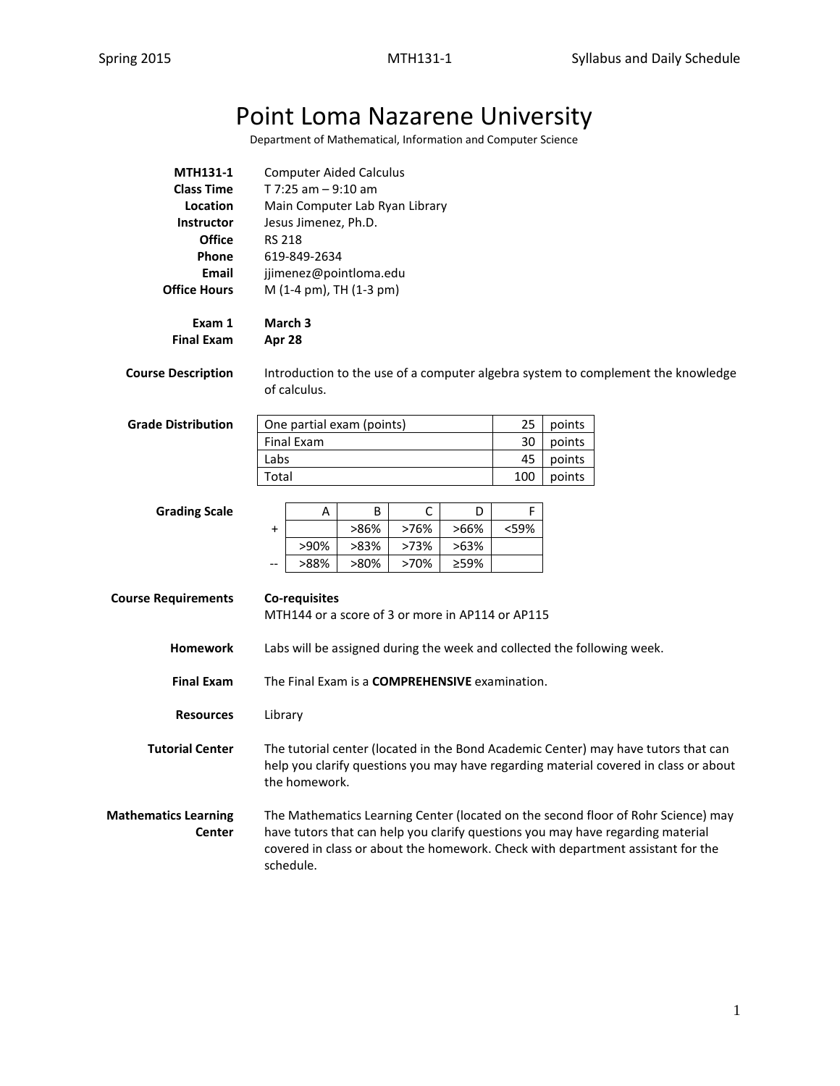# Point Loma Nazarene University

Department of Mathematical, Information and Computer Science

| <b>MTH131-1</b>   | <b>Computer Aided Calculus</b> |
|-------------------|--------------------------------|
| <b>Class Time</b> | T 7:25 am $-9:10$ am           |
| Location          | Main Computer Lab Ryan Library |
| Instructor        | Jesus Jimenez, Ph.D.           |
| <b>Office</b>     | <b>RS 218</b>                  |
| Phone             | 619-849-2634                   |
| Email             | jjimenez@pointloma.edu         |
| Office Hours      | M (1-4 pm), TH (1-3 pm)        |
|                   |                                |
|                   |                                |

**Exam 1 March 3 Final Exam Apr 28**

**Course Description** Introduction to the use of a computer algebra system to complement the knowledge of calculus.

| <b>Grade Distribution</b> | One partial exam (points) | 25  | points |
|---------------------------|---------------------------|-----|--------|
|                           | Final Exam                | 30  | points |
|                           | Labs                      | 45  | points |
|                           | Total                     | 100 | points |

| <b>Grading Scale</b> |                          | А    |      |      |      |      |
|----------------------|--------------------------|------|------|------|------|------|
|                      |                          |      | >86% | >76% | >66% | <59% |
|                      |                          | >90% | >83% | >73% | >63% |      |
|                      | $\overline{\phantom{a}}$ | >88% | >80% | >70% | ≥59% |      |

| <b>Course Requirements</b>            | Co-requisites<br>MTH144 or a score of 3 or more in AP114 or AP115                                                                                                                                                                                                    |  |  |  |
|---------------------------------------|----------------------------------------------------------------------------------------------------------------------------------------------------------------------------------------------------------------------------------------------------------------------|--|--|--|
| <b>Homework</b>                       | Labs will be assigned during the week and collected the following week.                                                                                                                                                                                              |  |  |  |
| <b>Final Exam</b>                     | The Final Exam is a <b>COMPREHENSIVE</b> examination.                                                                                                                                                                                                                |  |  |  |
| <b>Resources</b>                      | Library                                                                                                                                                                                                                                                              |  |  |  |
| <b>Tutorial Center</b>                | The tutorial center (located in the Bond Academic Center) may have tutors that can<br>help you clarify questions you may have regarding material covered in class or about<br>the homework.                                                                          |  |  |  |
| <b>Mathematics Learning</b><br>Center | The Mathematics Learning Center (located on the second floor of Rohr Science) may<br>have tutors that can help you clarify questions you may have regarding material<br>covered in class or about the homework. Check with department assistant for the<br>schedule. |  |  |  |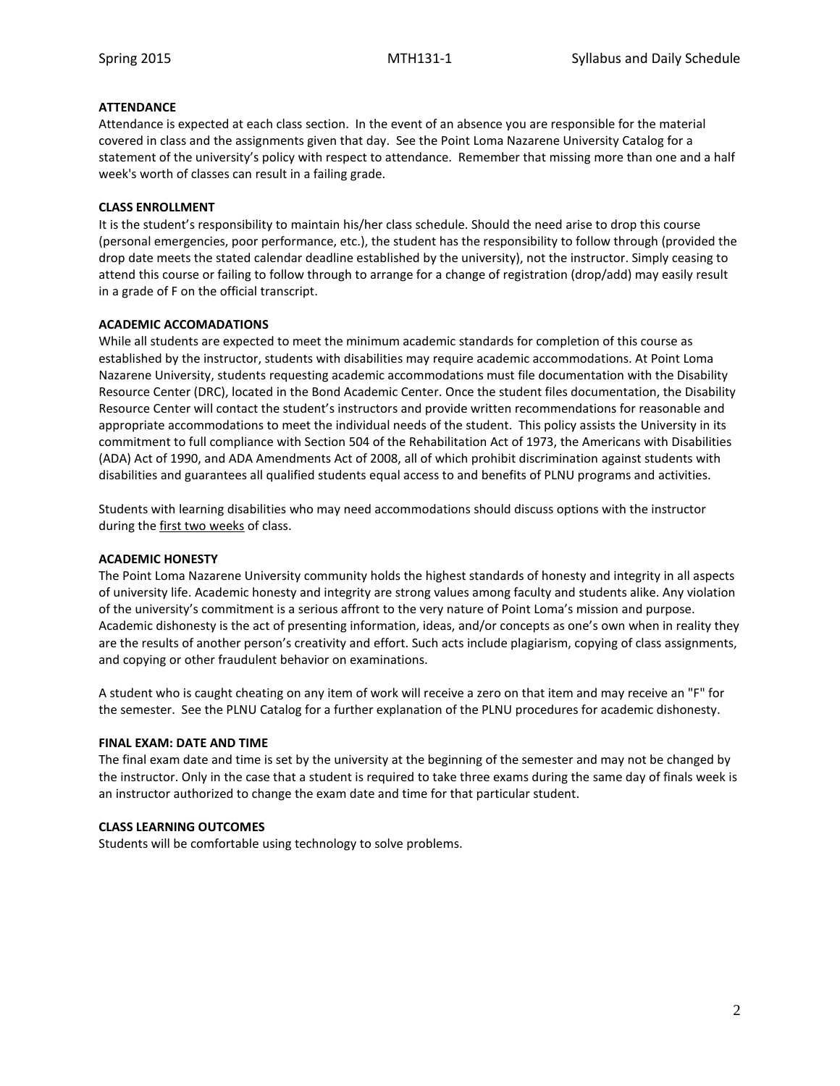# **ATTENDANCE**

Attendance is expected at each class section. In the event of an absence you are responsible for the material covered in class and the assignments given that day. See the Point Loma Nazarene University Catalog for a statement of the university's policy with respect to attendance. Remember that missing more than one and a half week's worth of classes can result in a failing grade.

# **CLASS ENROLLMENT**

It is the student's responsibility to maintain his/her class schedule. Should the need arise to drop this course (personal emergencies, poor performance, etc.), the student has the responsibility to follow through (provided the drop date meets the stated calendar deadline established by the university), not the instructor. Simply ceasing to attend this course or failing to follow through to arrange for a change of registration (drop/add) may easily result in a grade of F on the official transcript.

### **ACADEMIC ACCOMADATIONS**

While all students are expected to meet the minimum academic standards for completion of this course as established by the instructor, students with disabilities may require academic accommodations. At Point Loma Nazarene University, students requesting academic accommodations must file documentation with the Disability Resource Center (DRC), located in the Bond Academic Center. Once the student files documentation, the Disability Resource Center will contact the student's instructors and provide written recommendations for reasonable and appropriate accommodations to meet the individual needs of the student. This policy assists the University in its commitment to full compliance with Section 504 of the Rehabilitation Act of 1973, the Americans with Disabilities (ADA) Act of 1990, and ADA Amendments Act of 2008, all of which prohibit discrimination against students with disabilities and guarantees all qualified students equal access to and benefits of PLNU programs and activities.

Students with learning disabilities who may need accommodations should discuss options with the instructor during the first two weeks of class.

#### **ACADEMIC HONESTY**

The Point Loma Nazarene University community holds the highest standards of honesty and integrity in all aspects of university life. Academic honesty and integrity are strong values among faculty and students alike. Any violation of the university's commitment is a serious affront to the very nature of Point Loma's mission and purpose. Academic dishonesty is the act of presenting information, ideas, and/or concepts as one's own when in reality they are the results of another person's creativity and effort. Such acts include plagiarism, copying of class assignments, and copying or other fraudulent behavior on examinations.

A student who is caught cheating on any item of work will receive a zero on that item and may receive an "F" for the semester. See the PLNU Catalog for a further explanation of the PLNU procedures for academic dishonesty.

#### **FINAL EXAM: DATE AND TIME**

The final exam date and time is set by the university at the beginning of the semester and may not be changed by the instructor. Only in the case that a student is required to take three exams during the same day of finals week is an instructor authorized to change the exam date and time for that particular student.

#### **CLASS LEARNING OUTCOMES**

Students will be comfortable using technology to solve problems.